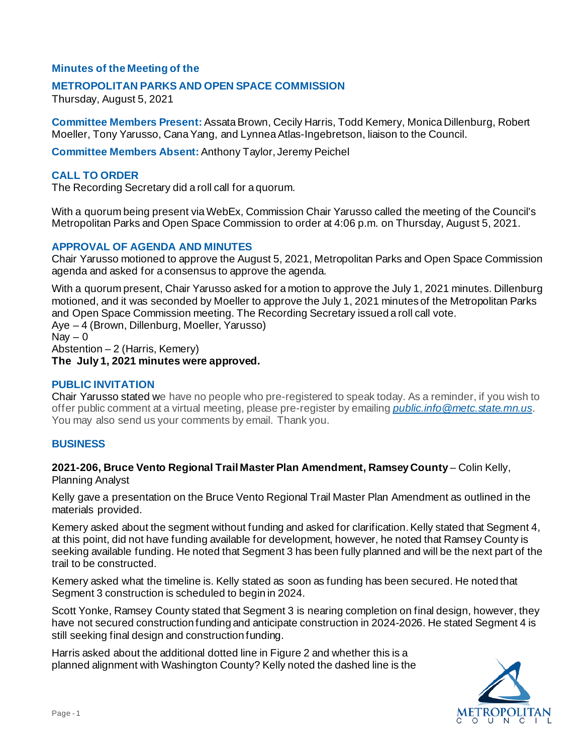## **Minutes of the Meeting of the**

#### **METROPOLITAN PARKS AND OPEN SPACE COMMISSION**

Thursday, August 5, 2021

**Committee Members Present:** Assata Brown, Cecily Harris, Todd Kemery, Monica Dillenburg, Robert Moeller, Tony Yarusso, Cana Yang, and Lynnea Atlas-Ingebretson, liaison to the Council.

**Committee Members Absent:** Anthony Taylor, Jeremy Peichel

## **CALL TO ORDER**

The Recording Secretary did a roll call for a quorum.

With a quorum being present via WebEx, Commission Chair Yarusso called the meeting of the Council's Metropolitan Parks and Open Space Commission to order at 4:06 p.m. on Thursday, August 5, 2021.

#### **APPROVAL OF AGENDA AND MINUTES**

Chair Yarusso motioned to approve the August 5, 2021, Metropolitan Parks and Open Space Commission agenda and asked for a consensus to approve the agenda.

With a quorum present, Chair Yarusso asked for a motion to approve the July 1, 2021 minutes. Dillenburg motioned, and it was seconded by Moeller to approve the July 1, 2021 minutes of the Metropolitan Parks and Open Space Commission meeting. The Recording Secretary issued a roll call vote. Aye – 4 (Brown, Dillenburg, Moeller, Yarusso) Nav  $-0$ Abstention – 2 (Harris, Kemery) **The July 1, 2021 minutes were approved.**

#### **PUBLIC INVITATION**

Chair Yarusso stated we have no people who pre-registered to speak today. As a reminder, if you wish to offer public comment at a virtual meeting, please pre-register by emailing *[public.info@metc.state.mn.us](mailto:public.info@metc.state.mn.us)*. You may also send us your comments by email. Thank you.

#### **BUSINESS**

**2021-206, Bruce Vento Regional Trail Master Plan Amendment, Ramsey County** – Colin Kelly, Planning Analyst

Kelly gave a presentation on the Bruce Vento Regional Trail Master Plan Amendment as outlined in the materials provided.

Kemery asked about the segment without funding and asked for clarification. Kelly stated that Segment 4, at this point, did not have funding available for development, however, he noted that Ramsey County is seeking available funding. He noted that Segment 3 has been fully planned and will be the next part of the trail to be constructed.

Kemery asked what the timeline is. Kelly stated as soon as funding has been secured. He noted that Segment 3 construction is scheduled to begin in 2024.

Scott Yonke, Ramsey County stated that Segment 3 is nearing completion on final design, however, they have not secured construction funding and anticipate construction in 2024-2026. He stated Segment 4 is still seeking final design and construction funding.

Harris asked about the additional dotted line in Figure 2 and whether this is a planned alignment with Washington County? Kelly noted the dashed line is the

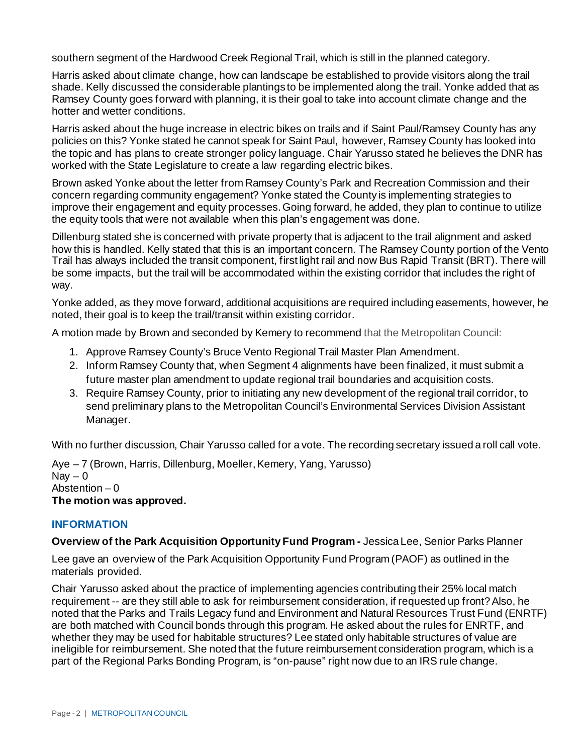southern segment of the Hardwood Creek Regional Trail, which is still in the planned category.

Harris asked about climate change, how can landscape be established to provide visitors along the trail shade. Kelly discussed the considerable plantings to be implemented along the trail. Yonke added that as Ramsey County goes forward with planning, it is their goal to take into account climate change and the hotter and wetter conditions.

Harris asked about the huge increase in electric bikes on trails and if Saint Paul/Ramsey County has any policies on this? Yonke stated he cannot speak for Saint Paul, however, Ramsey County has looked into the topic and has plans to create stronger policy language. Chair Yarusso stated he believes the DNR has worked with the State Legislature to create a law regarding electric bikes.

Brown asked Yonke about the letter from Ramsey County's Park and Recreation Commission and their concern regarding community engagement? Yonke stated the County is implementing strategies to improve their engagement and equity processes. Going forward, he added, they plan to continue to utilize the equity tools that were not available when this plan's engagement was done.

Dillenburg stated she is concerned with private property that is adjacent to the trail alignment and asked how this is handled. Kelly stated that this is an important concern. The Ramsey County portion of the Vento Trail has always included the transit component, first light rail and now Bus Rapid Transit (BRT). There will be some impacts, but the trail will be accommodated within the existing corridor that includes the right of way.

Yonke added, as they move forward, additional acquisitions are required including easements, however, he noted, their goal is to keep the trail/transit within existing corridor.

A motion made by Brown and seconded by Kemery to recommend that the Metropolitan Council:

- 1. Approve Ramsey County's Bruce Vento Regional Trail Master Plan Amendment.
- 2. Inform Ramsey County that, when Segment 4 alignments have been finalized, it must submit a future master plan amendment to update regional trail boundaries and acquisition costs.
- 3. Require Ramsey County, prior to initiating any new development of the regional trail corridor, to send preliminary plans to the Metropolitan Council's Environmental Services Division Assistant Manager.

With no further discussion, Chair Yarusso called for a vote. The recording secretary issued a roll call vote.

Aye – 7 (Brown, Harris, Dillenburg, Moeller, Kemery, Yang, Yarusso)  $\text{Nav} - 0$ Abstention  $-0$ **The motion was approved.**

## **INFORMATION**

**Overview of the Park Acquisition Opportunity Fund Program -** Jessica Lee, Senior Parks Planner

Lee gave an overview of the Park Acquisition Opportunity Fund Program (PAOF) as outlined in the materials provided.

Chair Yarusso asked about the practice of implementing agencies contributing their 25% local match requirement -- are they still able to ask for reimbursement consideration, if requested up front? Also, he noted that the Parks and Trails Legacy fund and Environment and Natural Resources Trust Fund (ENRTF) are both matched with Council bonds through this program. He asked about the rules for ENRTF, and whether they may be used for habitable structures? Lee stated only habitable structures of value are ineligible for reimbursement. She noted that the future reimbursement consideration program, which is a part of the Regional Parks Bonding Program, is "on-pause" right now due to an IRS rule change.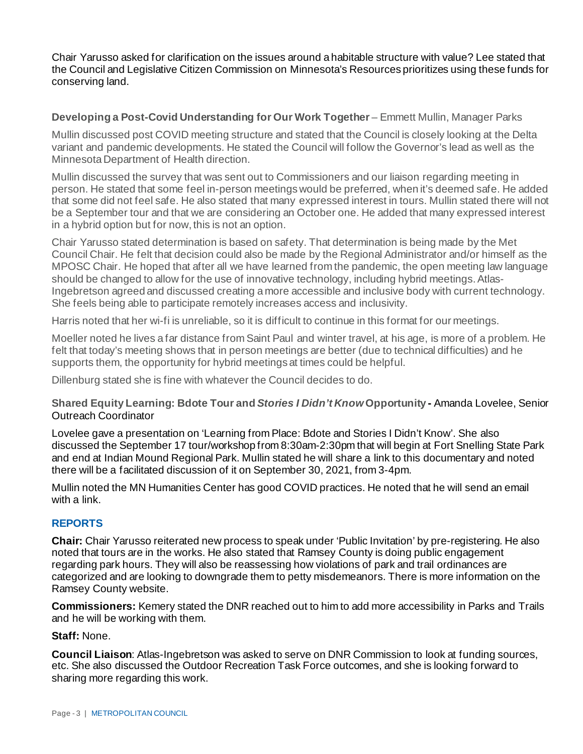Chair Yarusso asked for clarification on the issues around a habitable structure with value? Lee stated that the Council and Legislative Citizen Commission on Minnesota's Resources prioritizes using these funds for conserving land.

# **Developing a Post-Covid Understanding for Our Work Together** – Emmett Mullin, Manager Parks

Mullin discussed post COVID meeting structure and stated that the Council is closely looking at the Delta variant and pandemic developments. He stated the Council will follow the Governor's lead as well as the Minnesota Department of Health direction.

Mullin discussed the survey that was sent out to Commissioners and our liaison regarding meeting in person. He stated that some feel in-person meetings would be preferred, when it's deemed safe. He added that some did not feel safe. He also stated that many expressed interest in tours. Mullin stated there will not be a September tour and that we are considering an October one. He added that many expressed interest in a hybrid option but for now, this is not an option.

Chair Yarusso stated determination is based on safety. That determination is being made by the Met Council Chair. He felt that decision could also be made by the Regional Administrator and/or himself as the MPOSC Chair. He hoped that after all we have learned from the pandemic, the open meeting law language should be changed to allow for the use of innovative technology, including hybrid meetings. Atlas-Ingebretson agreed and discussed creating a more accessible and inclusive body with current technology. She feels being able to participate remotely increases access and inclusivity.

Harris noted that her wi-fi is unreliable, so it is difficult to continue in this format for our meetings.

Moeller noted he lives a far distance from Saint Paul and winter travel, at his age, is more of a problem. He felt that today's meeting shows that in person meetings are better (due to technical difficulties) and he supports them, the opportunity for hybrid meetings at times could be helpful.

Dillenburg stated she is fine with whatever the Council decides to do.

## **Shared Equity Learning: Bdote Tour and** *Stories I Didn't Know***Opportunity -** Amanda Lovelee, Senior Outreach Coordinator

Lovelee gave a presentation on 'Learning from Place: Bdote and Stories I Didn't Know'. She also discussed the September 17 tour/workshop from 8:30am-2:30pm that will begin at Fort Snelling State Park and end at Indian Mound Regional Park. Mullin stated he will share a link to this documentary and noted there will be a facilitated discussion of it on September 30, 2021, from 3-4pm.

Mullin noted the MN Humanities Center has good COVID practices. He noted that he will send an email with a link.

# **REPORTS**

**Chair:** Chair Yarusso reiterated new process to speak under 'Public Invitation' by pre-registering. He also noted that tours are in the works. He also stated that Ramsey County is doing public engagement regarding park hours. They will also be reassessing how violations of park and trail ordinances are categorized and are looking to downgrade them to petty misdemeanors. There is more information on the Ramsey County website.

**Commissioners:** Kemery stated the DNR reached out to him to add more accessibility in Parks and Trails and he will be working with them.

## **Staff:** None.

**Council Liaison**: Atlas-Ingebretson was asked to serve on DNR Commission to look at funding sources, etc. She also discussed the Outdoor Recreation Task Force outcomes, and she is looking forward to sharing more regarding this work.